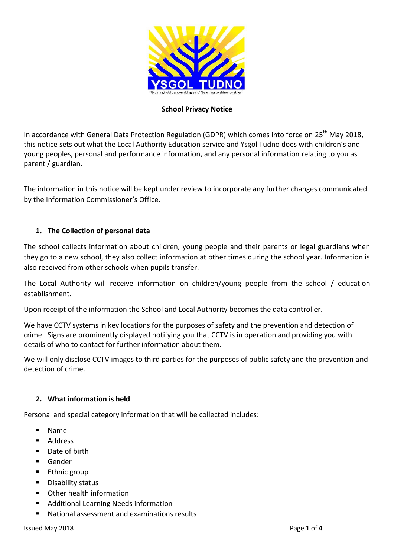

### **School Privacy Notice**

In accordance with General Data Protection Regulation (GDPR) which comes into force on 25<sup>th</sup> May 2018, this notice sets out what the Local Authority Education service and Ysgol Tudno does with children's and young peoples, personal and performance information, and any personal information relating to you as parent / guardian.

The information in this notice will be kept under review to incorporate any further changes communicated by the Information Commissioner's Office.

## **1. The Collection of personal data**

The school collects information about children, young people and their parents or legal guardians when they go to a new school, they also collect information at other times during the school year. Information is also received from other schools when pupils transfer.

The Local Authority will receive information on children/young people from the school / education establishment.

Upon receipt of the information the School and Local Authority becomes the data controller.

We have CCTV systems in key locations for the purposes of safety and the prevention and detection of crime. Signs are prominently displayed notifying you that CCTV is in operation and providing you with details of who to contact for further information about them.

We will only disclose CCTV images to third parties for the purposes of public safety and the prevention and detection of crime.

## **2. What information is held**

Personal and special category information that will be collected includes:

- Name
- **Address**
- Date of birth
- Gender
- Ethnic group
- **Disability status**
- Other health information
- **Additional Learning Needs information**
- National assessment and examinations results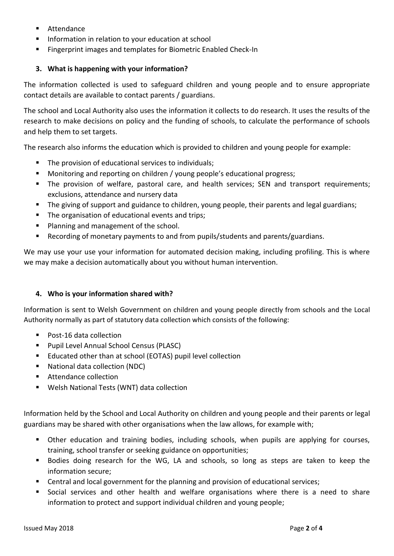- **Attendance**
- **Information in relation to your education at school**
- Fingerprint images and templates for Biometric Enabled Check-In

# **3. What is happening with your information?**

The information collected is used to safeguard children and young people and to ensure appropriate contact details are available to contact parents / guardians.

The school and Local Authority also uses the information it collects to do research. It uses the results of the research to make decisions on policy and the funding of schools, to calculate the performance of schools and help them to set targets.

The research also informs the education which is provided to children and young people for example:

- The provision of educational services to individuals;
- Monitoring and reporting on children / young people's educational progress;
- The provision of welfare, pastoral care, and health services; SEN and transport requirements; exclusions, attendance and nursery data
- The giving of support and guidance to children, young people, their parents and legal guardians;
- The organisation of educational events and trips;
- **Planning and management of the school.**
- Recording of monetary payments to and from pupils/students and parents/guardians.

We may use your use your information for automated decision making, including profiling. This is where we may make a decision automatically about you without human intervention.

## **4. Who is your information shared with?**

Information is sent to Welsh Government on children and young people directly from schools and the Local Authority normally as part of statutory data collection which consists of the following:

- Post-16 data collection
- **Pupil Level Annual School Census (PLASC)**
- Educated other than at school (EOTAS) pupil level collection
- National data collection (NDC)
- **Attendance collection**
- Welsh National Tests (WNT) data collection

Information held by the School and Local Authority on children and young people and their parents or legal guardians may be shared with other organisations when the law allows, for example with;

- **•** Other education and training bodies, including schools, when pupils are applying for courses, training, school transfer or seeking guidance on opportunities;
- Bodies doing research for the WG, LA and schools, so long as steps are taken to keep the information secure;
- Central and local government for the planning and provision of educational services;
- Social services and other health and welfare organisations where there is a need to share information to protect and support individual children and young people;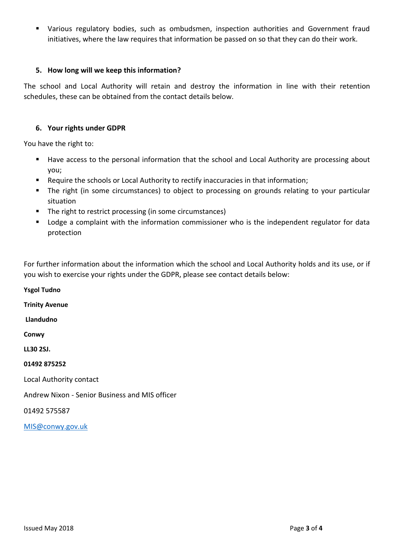Various regulatory bodies, such as ombudsmen, inspection authorities and Government fraud initiatives, where the law requires that information be passed on so that they can do their work.

### **5. How long will we keep this information?**

The school and Local Authority will retain and destroy the information in line with their retention schedules, these can be obtained from the contact details below.

#### **6. Your rights under GDPR**

You have the right to:

- Have access to the personal information that the school and Local Authority are processing about you;
- **Require the schools or Local Authority to rectify inaccuracies in that information;**
- The right (in some circumstances) to object to processing on grounds relating to your particular situation
- **The right to restrict processing (in some circumstances)**
- **•** Lodge a complaint with the information commissioner who is the independent regulator for data protection

For further information about the information which the school and Local Authority holds and its use, or if you wish to exercise your rights under the GDPR, please see contact details below:

**Ysgol Tudno Trinity Avenue Llandudno Conwy LL30 2SJ. 01492 875252** Local Authority contact Andrew Nixon - Senior Business and MIS officer 01492 575587

[MIS@conwy.gov.uk](mailto:MIS@conwy.gov.uk)